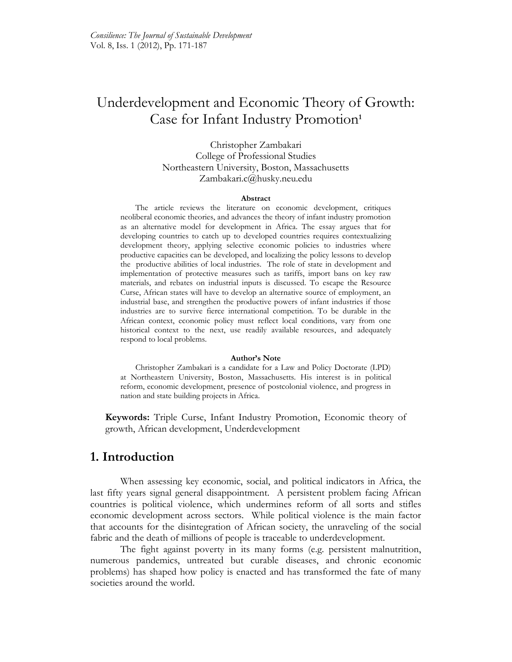# Underdevelopment and Economic Theory of Growth: Case for Infant Industry Promotion**<sup>1</sup>**

Christopher Zambakari College of Professional Studies Northeastern University, Boston, Massachusetts Zambakari.c@husky.neu.edu

#### **Abstract**

The article reviews the literature on economic development, critiques neoliberal economic theories, and advances the theory of infant industry promotion as an alternative model for development in Africa. The essay argues that for developing countries to catch up to developed countries requires contextualizing development theory, applying selective economic policies to industries where productive capacities can be developed, and localizing the policy lessons to develop the productive abilities of local industries. The role of state in development and implementation of protective measures such as tariffs, import bans on key raw materials, and rebates on industrial inputs is discussed. To escape the Resource Curse, African states will have to develop an alternative source of employment, an industrial base, and strengthen the productive powers of infant industries if those industries are to survive fierce international competition. To be durable in the African context, economic policy must reflect local conditions, vary from one historical context to the next, use readily available resources, and adequately respond to local problems.

#### **Author's Note**

Christopher Zambakari is a candidate for a Law and Policy Doctorate (LPD) at Northeastern University, Boston, Massachusetts. His interest is in political reform, economic development, presence of postcolonial violence, and progress in nation and state building projects in Africa.

**Keywords:** Triple Curse, Infant Industry Promotion, Economic theory of growth, African development, Underdevelopment

#### **1. Introduction**

When assessing key economic, social, and political indicators in Africa, the last fifty years signal general disappointment. A persistent problem facing African countries is political violence, which undermines reform of all sorts and stifles economic development across sectors. While political violence is the main factor that accounts for the disintegration of African society, the unraveling of the social fabric and the death of millions of people is traceable to underdevelopment.

The fight against poverty in its many forms (e.g. persistent malnutrition, numerous pandemics, untreated but curable diseases, and chronic economic problems) has shaped how policy is enacted and has transformed the fate of many societies around the world.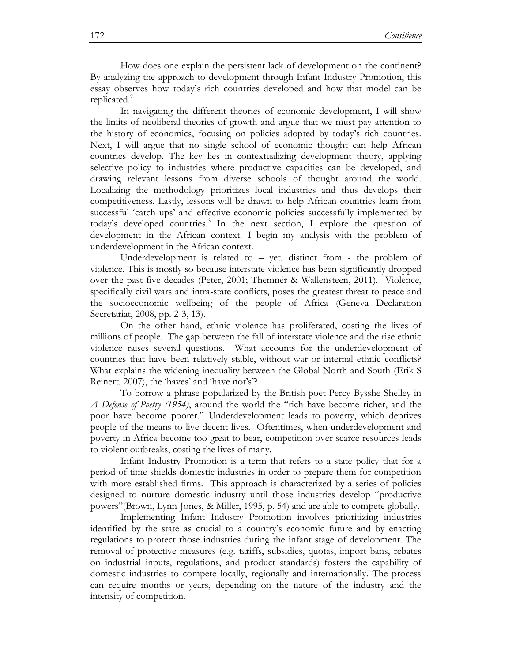How does one explain the persistent lack of development on the continent? By analyzing the approach to development through Infant Industry Promotion, this essay observes how today's rich countries developed and how that model can be replicated. $^{2}$ 

In navigating the different theories of economic development, I will show the limits of neoliberal theories of growth and argue that we must pay attention to the history of economics, focusing on policies adopted by today's rich countries. Next, I will argue that no single school of economic thought can help African countries develop. The key lies in contextualizing development theory, applying selective policy to industries where productive capacities can be developed, and drawing relevant lessons from diverse schools of thought around the world. Localizing the methodology prioritizes local industries and thus develops their competitiveness. Lastly, lessons will be drawn to help African countries learn from successful 'catch ups' and effective economic policies successfully implemented by today's developed countries.<sup>3</sup> In the next section, I explore the question of development in the African context. I begin my analysis with the problem of underdevelopment in the African context.

Underdevelopment is related to – yet, distinct from - the problem of violence. This is mostly so because interstate violence has been significantly dropped over the past five decades (Peter, 2001; Themnér & Wallensteen, 2011). Violence, specifically civil wars and intra-state conflicts, poses the greatest threat to peace and the socioeconomic wellbeing of the people of Africa (Geneva Declaration Secretariat, 2008, pp. 2-3, 13).

On the other hand, ethnic violence has proliferated, costing the lives of millions of people. The gap between the fall of interstate violence and the rise ethnic violence raises several questions. What accounts for the underdevelopment of countries that have been relatively stable, without war or internal ethnic conflicts? What explains the widening inequality between the Global North and South (Erik S Reinert, 2007), the 'haves' and 'have not's'?

To borrow a phrase popularized by the British poet Percy Bysshe Shelley in *A Defense of Poetry (1954)*, around the world the "rich have become richer, and the poor have become poorer." Underdevelopment leads to poverty, which deprives people of the means to live decent lives. Oftentimes, when underdevelopment and poverty in Africa become too great to bear, competition over scarce resources leads to violent outbreaks, costing the lives of many.

Infant Industry Promotion is a term that refers to a state policy that for a period of time shields domestic industries in order to prepare them for competition with more established firms. This approach-is characterized by a series of policies designed to nurture domestic industry until those industries develop "productive powers"(Brown, Lynn-Jones, & Miller, 1995, p. 54) and are able to compete globally.

Implementing Infant Industry Promotion involves prioritizing industries identified by the state as crucial to a country's economic future and by enacting regulations to protect those industries during the infant stage of development. The removal of protective measures (e.g. tariffs, subsidies, quotas, import bans, rebates on industrial inputs, regulations, and product standards) fosters the capability of domestic industries to compete locally, regionally and internationally. The process can require months or years, depending on the nature of the industry and the intensity of competition.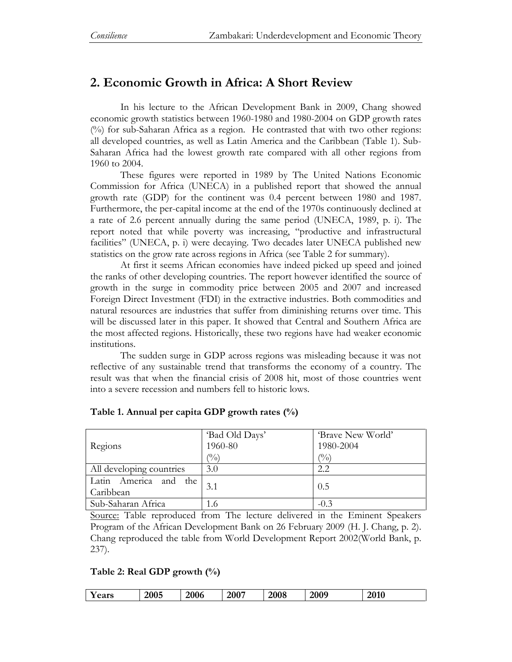# **2. Economic Growth in Africa: A Short Review**

In his lecture to the African Development Bank in 2009, Chang showed economic growth statistics between 1960-1980 and 1980-2004 on GDP growth rates (%) for sub-Saharan Africa as a region. He contrasted that with two other regions: all developed countries, as well as Latin America and the Caribbean (Table 1). Sub-Saharan Africa had the lowest growth rate compared with all other regions from 1960 to 2004.

These figures were reported in 1989 by The United Nations Economic Commission for Africa (UNECA) in a published report that showed the annual growth rate (GDP) for the continent was 0.4 percent between 1980 and 1987. Furthermore, the per-capital income at the end of the 1970s continuously declined at a rate of 2.6 percent annually during the same period (UNECA, 1989, p. i). The report noted that while poverty was increasing, "productive and infrastructural facilities" (UNECA, p. i) were decaying. Two decades later UNECA published new statistics on the grow rate across regions in Africa (see Table 2 for summary).

At first it seems African economies have indeed picked up speed and joined the ranks of other developing countries. The report however identified the source of growth in the surge in commodity price between 2005 and 2007 and increased Foreign Direct Investment (FDI) in the extractive industries. Both commodities and natural resources are industries that suffer from diminishing returns over time. This will be discussed later in this paper. It showed that Central and Southern Africa are the most affected regions. Historically, these two regions have had weaker economic institutions.

The sudden surge in GDP across regions was misleading because it was not reflective of any sustainable trend that transforms the economy of a country. The result was that when the financial crisis of 2008 hit, most of those countries went into a severe recession and numbers fell to historic lows.

|                          | 'Bad Old Days' | 'Brave New World' |
|--------------------------|----------------|-------------------|
| Regions                  | 1960-80        | 1980-2004         |
|                          | $\binom{0}{0}$ | $\binom{0}{0}$    |
| All developing countries | 3.0            | 2.2               |
| Latin America and the    | 3.1            | 0.5               |
| Caribbean                |                |                   |
| Sub-Saharan Africa       | 1.6            | $-0.3$            |

#### **Table 1. Annual per capita GDP growth rates (%)**

Source: Table reproduced from The lecture delivered in the Eminent Speakers Program of the African Development Bank on 26 February 2009 (H. J. Chang, p. 2). Chang reproduced the table from World Development Report 2002(World Bank, p. 237).

#### **Table 2: Real GDP growth (%)**

| $\mathbf{r}$<br>2009<br>2005<br>2007<br>2010<br>2008<br>2006<br>ears |
|----------------------------------------------------------------------|
|----------------------------------------------------------------------|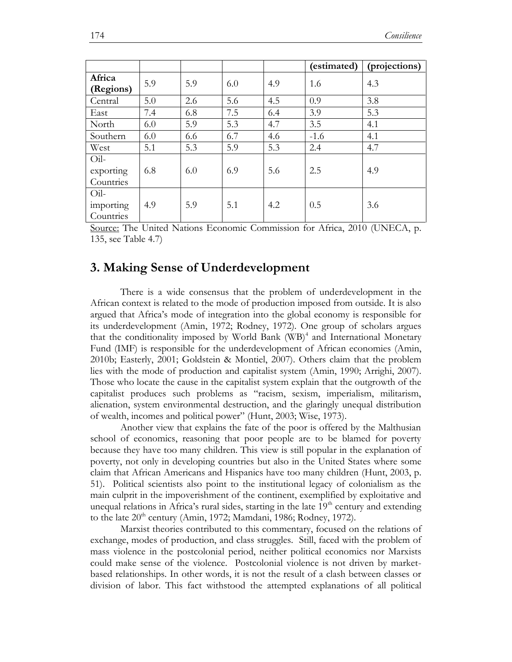|                                |     |     |     |     | (estimated) | (projections) |
|--------------------------------|-----|-----|-----|-----|-------------|---------------|
| Africa<br>(Regions)            | 5.9 | 5.9 | 6.0 | 4.9 | 1.6         | 4.3           |
| Central                        | 5.0 | 2.6 | 5.6 | 4.5 | 0.9         | 3.8           |
| East                           | 7.4 | 6.8 | 7.5 | 6.4 | 3.9         | 5.3           |
| North                          | 6.0 | 5.9 | 5.3 | 4.7 | 3.5         | 4.1           |
| Southern                       | 6.0 | 6.6 | 6.7 | 4.6 | $-1.6$      | 4.1           |
| West                           | 5.1 | 5.3 | 5.9 | 5.3 | 2.4         | 4.7           |
| Oil-<br>exporting<br>Countries | 6.8 | 6.0 | 6.9 | 5.6 | 2.5         | 4.9           |
| Oil-<br>importing<br>Countries | 4.9 | 5.9 | 5.1 | 4.2 | 0.5         | 3.6           |

Source: The United Nations Economic Commission for Africa, 2010 (UNECA, p. 135, see Table 4.7)

### **3. Making Sense of Underdevelopment**

There is a wide consensus that the problem of underdevelopment in the African context is related to the mode of production imposed from outside. It is also argued that Africa's mode of integration into the global economy is responsible for its underdevelopment (Amin, 1972; Rodney, 1972). One group of scholars argues that the conditionality imposed by World Bank (WB)<sup>4</sup> and International Monetary Fund (IMF) is responsible for the underdevelopment of African economies (Amin, 2010b; Easterly, 2001; Goldstein & Montiel, 2007). Others claim that the problem lies with the mode of production and capitalist system (Amin, 1990; Arrighi, 2007). Those who locate the cause in the capitalist system explain that the outgrowth of the capitalist produces such problems as "racism, sexism, imperialism, militarism, alienation, system environmental destruction, and the glaringly unequal distribution of wealth, incomes and political power" (Hunt, 2003; Wise, 1973).

Another view that explains the fate of the poor is offered by the Malthusian school of economics, reasoning that poor people are to be blamed for poverty because they have too many children. This view is still popular in the explanation of poverty, not only in developing countries but also in the United States where some claim that African Americans and Hispanics have too many children (Hunt, 2003, p. 51). Political scientists also point to the institutional legacy of colonialism as the main culprit in the impoverishment of the continent, exemplified by exploitative and unequal relations in Africa's rural sides, starting in the late  $19<sup>th</sup>$  century and extending to the late  $20<sup>th</sup>$  century (Amin, 1972; Mamdani, 1986; Rodney, 1972).

Marxist theories contributed to this commentary, focused on the relations of exchange, modes of production, and class struggles. Still, faced with the problem of mass violence in the postcolonial period, neither political economics nor Marxists could make sense of the violence. Postcolonial violence is not driven by marketbased relationships. In other words, it is not the result of a clash between classes or division of labor. This fact withstood the attempted explanations of all political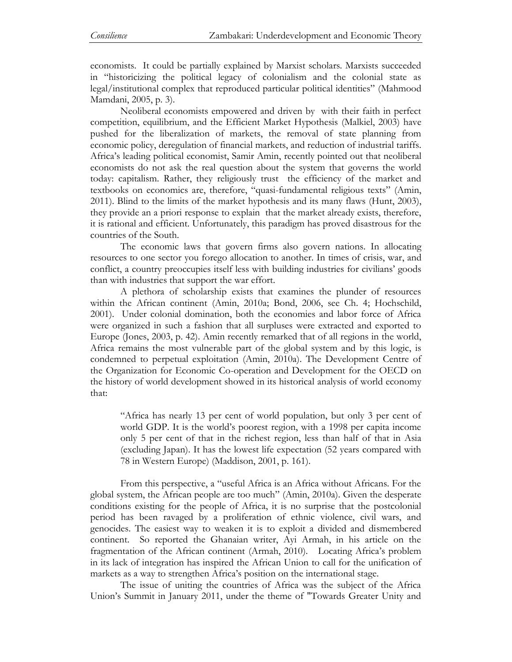economists. It could be partially explained by Marxist scholars. Marxists succeeded in "historicizing the political legacy of colonialism and the colonial state as legal/institutional complex that reproduced particular political identities" (Mahmood Mamdani, 2005, p. 3).

Neoliberal economists empowered and driven by with their faith in perfect competition, equilibrium, and the Efficient Market Hypothesis (Malkiel, 2003) have pushed for the liberalization of markets, the removal of state planning from economic policy, deregulation of financial markets, and reduction of industrial tariffs. Africa's leading political economist, Samir Amin, recently pointed out that neoliberal economists do not ask the real question about the system that governs the world today: capitalism. Rather, they religiously trust the efficiency of the market and textbooks on economics are, therefore, "quasi-fundamental religious texts" (Amin, 2011). Blind to the limits of the market hypothesis and its many flaws (Hunt, 2003), they provide an a priori response to explain that the market already exists, therefore, it is rational and efficient. Unfortunately, this paradigm has proved disastrous for the countries of the South.

The economic laws that govern firms also govern nations. In allocating resources to one sector you forego allocation to another. In times of crisis, war, and conflict, a country preoccupies itself less with building industries for civilians' goods than with industries that support the war effort.

A plethora of scholarship exists that examines the plunder of resources within the African continent (Amin, 2010a; Bond, 2006, see Ch. 4; Hochschild, 2001). Under colonial domination, both the economies and labor force of Africa were organized in such a fashion that all surpluses were extracted and exported to Europe (Jones, 2003, p. 42). Amin recently remarked that of all regions in the world, Africa remains the most vulnerable part of the global system and by this logic, is condemned to perpetual exploitation (Amin, 2010a). The Development Centre of the Organization for Economic Co-operation and Development for the OECD on the history of world development showed in its historical analysis of world economy that:

"Africa has nearly 13 per cent of world population, but only 3 per cent of world GDP. It is the world's poorest region, with a 1998 per capita income only 5 per cent of that in the richest region, less than half of that in Asia (excluding Japan). It has the lowest life expectation (52 years compared with 78 in Western Europe) (Maddison, 2001, p. 161).

From this perspective, a "useful Africa is an Africa without Africans. For the global system, the African people are too much" (Amin, 2010a). Given the desperate conditions existing for the people of Africa, it is no surprise that the postcolonial period has been ravaged by a proliferation of ethnic violence, civil wars, and genocides. The easiest way to weaken it is to exploit a divided and dismembered continent. So reported the Ghanaian writer, Ayi Armah, in his article on the fragmentation of the African continent (Armah, 2010). Locating Africa's problem in its lack of integration has inspired the African Union to call for the unification of markets as a way to strengthen Africa's position on the international stage.

The issue of uniting the countries of Africa was the subject of the Africa Union's Summit in January 2011, under the theme of "Towards Greater Unity and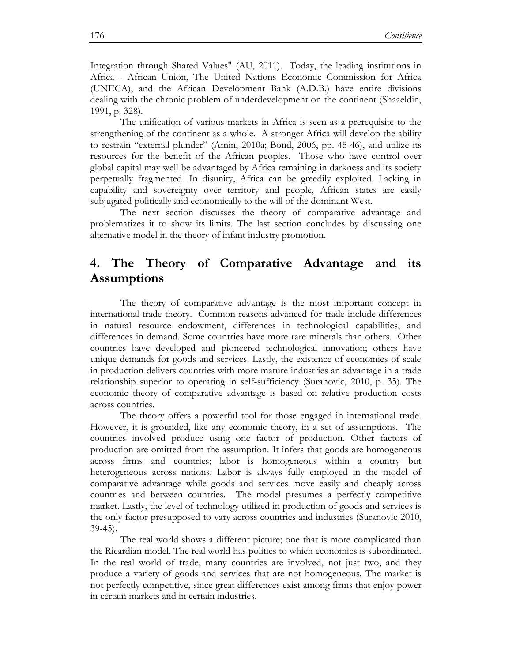Integration through Shared Values" (AU, 2011). Today, the leading institutions in Africa - African Union, The United Nations Economic Commission for Africa (UNECA), and the African Development Bank (A.D.B.) have entire divisions dealing with the chronic problem of underdevelopment on the continent (Shaaeldin, 1991, p. 328).

The unification of various markets in Africa is seen as a prerequisite to the strengthening of the continent as a whole. A stronger Africa will develop the ability to restrain "external plunder" (Amin, 2010a; Bond, 2006, pp. 45-46), and utilize its resources for the benefit of the African peoples. Those who have control over global capital may well be advantaged by Africa remaining in darkness and its society perpetually fragmented. In disunity, Africa can be greedily exploited. Lacking in capability and sovereignty over territory and people, African states are easily subjugated politically and economically to the will of the dominant West.

The next section discusses the theory of comparative advantage and problematizes it to show its limits. The last section concludes by discussing one alternative model in the theory of infant industry promotion.

## **4. The Theory of Comparative Advantage and its Assumptions**

The theory of comparative advantage is the most important concept in international trade theory. Common reasons advanced for trade include differences in natural resource endowment, differences in technological capabilities, and differences in demand. Some countries have more rare minerals than others. Other countries have developed and pioneered technological innovation; others have unique demands for goods and services. Lastly, the existence of economies of scale in production delivers countries with more mature industries an advantage in a trade relationship superior to operating in self-sufficiency (Suranovic, 2010, p. 35). The economic theory of comparative advantage is based on relative production costs across countries.

The theory offers a powerful tool for those engaged in international trade. However, it is grounded, like any economic theory, in a set of assumptions. The countries involved produce using one factor of production. Other factors of production are omitted from the assumption. It infers that goods are homogeneous across firms and countries; labor is homogeneous within a country but heterogeneous across nations. Labor is always fully employed in the model of comparative advantage while goods and services move easily and cheaply across countries and between countries. The model presumes a perfectly competitive market. Lastly, the level of technology utilized in production of goods and services is the only factor presupposed to vary across countries and industries (Suranovic 2010, 39-45).

The real world shows a different picture; one that is more complicated than the Ricardian model. The real world has politics to which economics is subordinated. In the real world of trade, many countries are involved, not just two, and they produce a variety of goods and services that are not homogeneous. The market is not perfectly competitive, since great differences exist among firms that enjoy power in certain markets and in certain industries.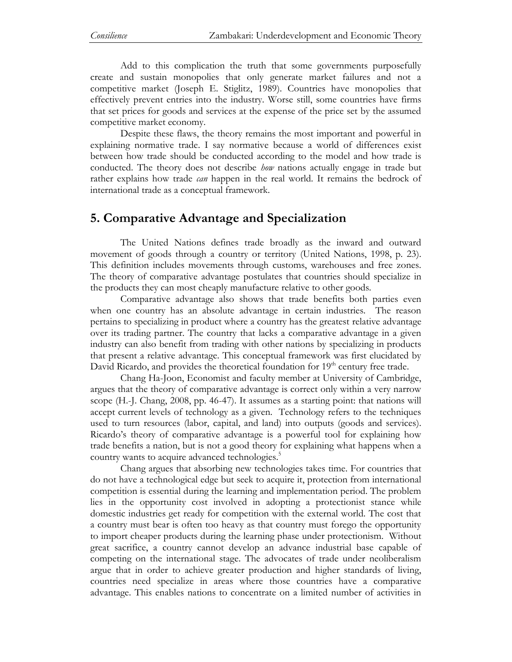Add to this complication the truth that some governments purposefully create and sustain monopolies that only generate market failures and not a competitive market (Joseph E. Stiglitz, 1989). Countries have monopolies that effectively prevent entries into the industry. Worse still, some countries have firms that set prices for goods and services at the expense of the price set by the assumed competitive market economy.

Despite these flaws, the theory remains the most important and powerful in explaining normative trade. I say normative because a world of differences exist between how trade should be conducted according to the model and how trade is conducted. The theory does not describe *how* nations actually engage in trade but rather explains how trade *can* happen in the real world. It remains the bedrock of international trade as a conceptual framework.

## **5. Comparative Advantage and Specialization**

The United Nations defines trade broadly as the inward and outward movement of goods through a country or territory (United Nations, 1998, p. 23). This definition includes movements through customs, warehouses and free zones. The theory of comparative advantage postulates that countries should specialize in the products they can most cheaply manufacture relative to other goods.

Comparative advantage also shows that trade benefits both parties even when one country has an absolute advantage in certain industries. The reason pertains to specializing in product where a country has the greatest relative advantage over its trading partner. The country that lacks a comparative advantage in a given industry can also benefit from trading with other nations by specializing in products that present a relative advantage. This conceptual framework was first elucidated by David Ricardo, and provides the theoretical foundation for  $19<sup>th</sup>$  century free trade.

Chang Ha-Joon, Economist and faculty member at University of Cambridge, argues that the theory of comparative advantage is correct only within a very narrow scope (H.-J. Chang, 2008, pp. 46-47). It assumes as a starting point: that nations will accept current levels of technology as a given. Technology refers to the techniques used to turn resources (labor, capital, and land) into outputs (goods and services). Ricardo's theory of comparative advantage is a powerful tool for explaining how trade benefits a nation, but is not a good theory for explaining what happens when a country wants to acquire advanced technologies.<sup>5</sup>

Chang argues that absorbing new technologies takes time. For countries that do not have a technological edge but seek to acquire it, protection from international competition is essential during the learning and implementation period. The problem lies in the opportunity cost involved in adopting a protectionist stance while domestic industries get ready for competition with the external world. The cost that a country must bear is often too heavy as that country must forego the opportunity to import cheaper products during the learning phase under protectionism. Without great sacrifice, a country cannot develop an advance industrial base capable of competing on the international stage. The advocates of trade under neoliberalism argue that in order to achieve greater production and higher standards of living, countries need specialize in areas where those countries have a comparative advantage. This enables nations to concentrate on a limited number of activities in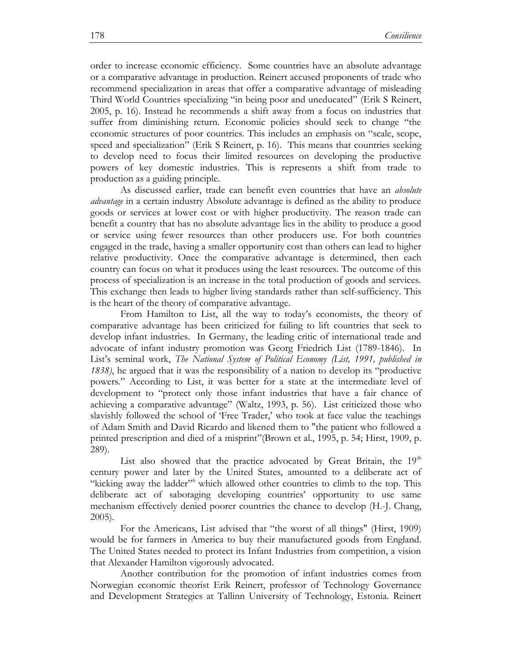order to increase economic efficiency. Some countries have an absolute advantage or a comparative advantage in production. Reinert accused proponents of trade who recommend specialization in areas that offer a comparative advantage of misleading Third World Countries specializing "in being poor and uneducated" (Erik S Reinert, 2005, p. 16). Instead he recommends a shift away from a focus on industries that suffer from diminishing return. Economic policies should seek to change "the economic structures of poor countries. This includes an emphasis on "scale, scope, speed and specialization" (Erik S Reinert, p. 16). This means that countries seeking to develop need to focus their limited resources on developing the productive powers of key domestic industries. This is represents a shift from trade to production as a guiding principle.

As discussed earlier, trade can benefit even countries that have an *absolute advantage* in a certain industry Absolute advantage is defined as the ability to produce goods or services at lower cost or with higher productivity. The reason trade can benefit a country that has no absolute advantage lies in the ability to produce a good or service using fewer resources than other producers use. For both countries engaged in the trade, having a smaller opportunity cost than others can lead to higher relative productivity. Once the comparative advantage is determined, then each country can focus on what it produces using the least resources. The outcome of this process of specialization is an increase in the total production of goods and services. This exchange then leads to higher living standards rather than self-sufficiency. This is the heart of the theory of comparative advantage.

From Hamilton to List, all the way to today's economists, the theory of comparative advantage has been criticized for failing to lift countries that seek to develop infant industries. In Germany, the leading critic of international trade and advocate of infant industry promotion was Georg Friedrich List (1789-1846). In List's seminal work, *The National System of Political Economy (List, 1991, published in 1838)*, he argued that it was the responsibility of a nation to develop its "productive powers." According to List, it was better for a state at the intermediate level of development to "protect only those infant industries that have a fair chance of achieving a comparative advantage" (Waltz, 1993, p. 56). List criticized those who slavishly followed the school of 'Free Trader,' who took at face value the teachings of Adam Smith and David Ricardo and likened them to "the patient who followed a printed prescription and died of a misprint"(Brown et al., 1995, p. 54; Hirst, 1909, p. 289).

List also showed that the practice advocated by Great Britain, the  $19<sup>th</sup>$ century power and later by the United States, amounted to a deliberate act of "kicking away the ladder"<sup>6</sup> which allowed other countries to climb to the top. This deliberate act of sabotaging developing countries' opportunity to use same mechanism effectively denied poorer countries the chance to develop (H.-J. Chang, 2005).

For the Americans, List advised that "the worst of all things" (Hirst, 1909) would be for farmers in America to buy their manufactured goods from England. The United States needed to protect its Infant Industries from competition, a vision that Alexander Hamilton vigorously advocated.

Another contribution for the promotion of infant industries comes from Norwegian economic theorist Erik Reinert, professor of Technology Governance and Development Strategies at Tallinn University of Technology, Estonia. Reinert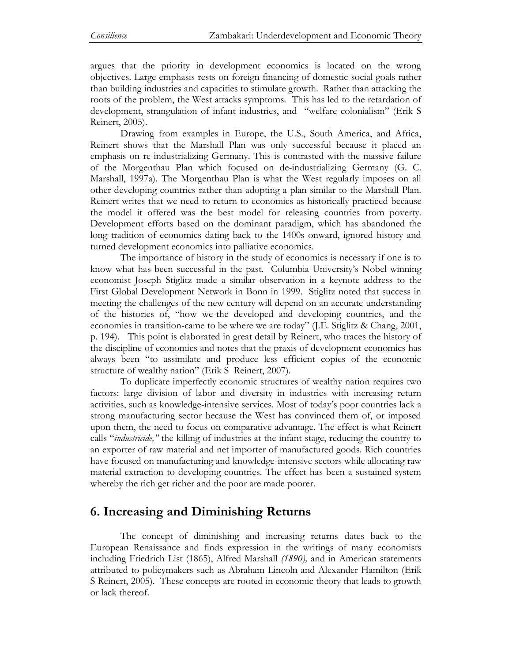argues that the priority in development economics is located on the wrong objectives. Large emphasis rests on foreign financing of domestic social goals rather than building industries and capacities to stimulate growth. Rather than attacking the roots of the problem, the West attacks symptoms. This has led to the retardation of development, strangulation of infant industries, and "welfare colonialism" (Erik S Reinert, 2005).

Drawing from examples in Europe, the U.S., South America, and Africa, Reinert shows that the Marshall Plan was only successful because it placed an emphasis on re-industrializing Germany. This is contrasted with the massive failure of the Morgenthau Plan which focused on de-industrializing Germany (G. C. Marshall, 1997a). The Morgenthau Plan is what the West regularly imposes on all other developing countries rather than adopting a plan similar to the Marshall Plan. Reinert writes that we need to return to economics as historically practiced because the model it offered was the best model for releasing countries from poverty. Development efforts based on the dominant paradigm, which has abandoned the long tradition of economics dating back to the 1400s onward, ignored history and turned development economics into palliative economics.

The importance of history in the study of economics is necessary if one is to know what has been successful in the past. Columbia University's Nobel winning economist Joseph Stiglitz made a similar observation in a keynote address to the First Global Development Network in Bonn in 1999. Stiglitz noted that success in meeting the challenges of the new century will depend on an accurate understanding of the histories of, "how we-the developed and developing countries, and the economies in transition-came to be where we are today" (J.E. Stiglitz & Chang, 2001, p. 194). This point is elaborated in great detail by Reinert, who traces the history of the discipline of economics and notes that the praxis of development economics has always been "to assimilate and produce less efficient copies of the economic structure of wealthy nation" (Erik S Reinert, 2007).

To duplicate imperfectly economic structures of wealthy nation requires two factors: large division of labor and diversity in industries with increasing return activities, such as knowledge-intensive services. Most of today's poor countries lack a strong manufacturing sector because the West has convinced them of, or imposed upon them, the need to focus on comparative advantage. The effect is what Reinert calls "*industricide,"* the killing of industries at the infant stage, reducing the country to an exporter of raw material and net importer of manufactured goods. Rich countries have focused on manufacturing and knowledge-intensive sectors while allocating raw material extraction to developing countries. The effect has been a sustained system whereby the rich get richer and the poor are made poorer.

## **6. Increasing and Diminishing Returns**

The concept of diminishing and increasing returns dates back to the European Renaissance and finds expression in the writings of many economists including Friedrich List (1865), Alfred Marshall *(1890),* and in American statements attributed to policymakers such as Abraham Lincoln and Alexander Hamilton (Erik S Reinert, 2005). These concepts are rooted in economic theory that leads to growth or lack thereof.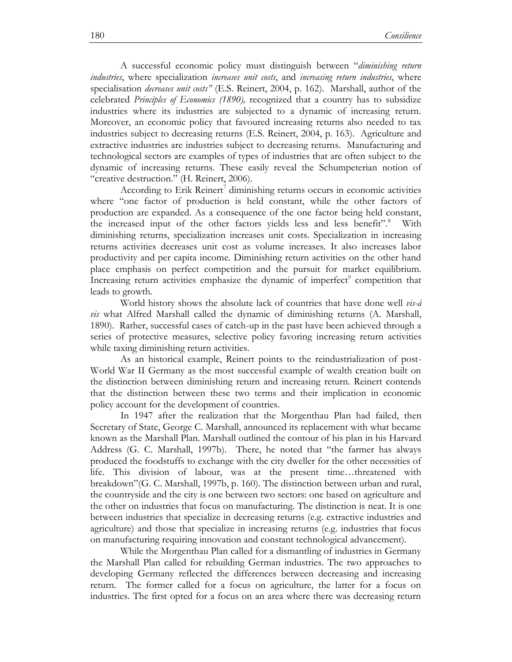A successful economic policy must distinguish between "*diminishing return industries*, where specialization *increases unit costs*, and *increasing return industries*, where specialisation *decreases unit costs"* (E.S. Reinert, 2004, p. 162). Marshall, author of the celebrated *Principles of Economics (1890),* recognized that a country has to subsidize industries where its industries are subjected to a dynamic of increasing return. Moreover, an economic policy that favoured increasing returns also needed to tax industries subject to decreasing returns (E.S. Reinert, 2004, p. 163). Agriculture and extractive industries are industries subject to decreasing returns. Manufacturing and technological sectors are examples of types of industries that are often subject to the dynamic of increasing returns. These easily reveal the Schumpeterian notion of "creative destruction." (H. Reinert, 2006).

According to Erik Reinert<sup>7</sup> diminishing returns occurs in economic activities where "one factor of production is held constant, while the other factors of production are expanded. As a consequence of the one factor being held constant, the increased input of the other factors yields less and less benefit".<sup>8</sup> With diminishing returns, specialization increases unit costs. Specialization in increasing returns activities decreases unit cost as volume increases. It also increases labor productivity and per capita income. Diminishing return activities on the other hand place emphasis on perfect competition and the pursuit for market equilibrium. Increasing return activities emphasize the dynamic of imperfect $\degree$  competition that leads to growth.

World history shows the absolute lack of countries that have done well *vis-á vis* what Alfred Marshall called the dynamic of diminishing returns (A. Marshall, 1890). Rather, successful cases of catch-up in the past have been achieved through a series of protective measures, selective policy favoring increasing return activities while taxing diminishing return activities.

As an historical example, Reinert points to the reindustrialization of post-World War II Germany as the most successful example of wealth creation built on the distinction between diminishing return and increasing return. Reinert contends that the distinction between these two terms and their implication in economic policy account for the development of countries.

In 1947 after the realization that the Morgenthau Plan had failed, then Secretary of State, George C. Marshall, announced its replacement with what became known as the Marshall Plan. Marshall outlined the contour of his plan in his Harvard Address (G. C. Marshall, 1997b). There, he noted that "the farmer has always produced the foodstuffs to exchange with the city dweller for the other necessities of life. This division of labour, was at the present time…threatened with breakdown"(G. C. Marshall, 1997b, p. 160). The distinction between urban and rural, the countryside and the city is one between two sectors: one based on agriculture and the other on industries that focus on manufacturing. The distinction is neat. It is one between industries that specialize in decreasing returns (e.g. extractive industries and agriculture) and those that specialize in increasing returns (e.g. industries that focus on manufacturing requiring innovation and constant technological advancement).

While the Morgenthau Plan called for a dismantling of industries in Germany the Marshall Plan called for rebuilding German industries. The two approaches to developing Germany reflected the differences between decreasing and increasing return. The former called for a focus on agriculture, the latter for a focus on industries. The first opted for a focus on an area where there was decreasing return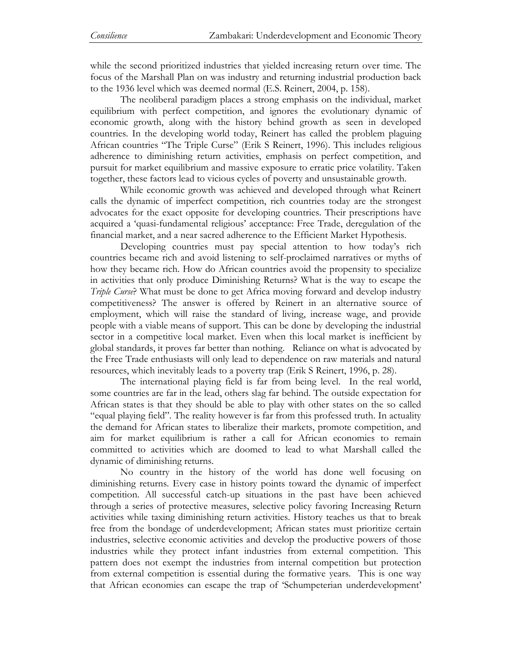while the second prioritized industries that yielded increasing return over time. The focus of the Marshall Plan on was industry and returning industrial production back to the 1936 level which was deemed normal (E.S. Reinert, 2004, p. 158).

The neoliberal paradigm places a strong emphasis on the individual, market equilibrium with perfect competition, and ignores the evolutionary dynamic of economic growth, along with the history behind growth as seen in developed countries. In the developing world today, Reinert has called the problem plaguing African countries "The Triple Curse" (Erik S Reinert, 1996). This includes religious adherence to diminishing return activities, emphasis on perfect competition, and pursuit for market equilibrium and massive exposure to erratic price volatility. Taken together, these factors lead to vicious cycles of poverty and unsustainable growth.

While economic growth was achieved and developed through what Reinert calls the dynamic of imperfect competition, rich countries today are the strongest advocates for the exact opposite for developing countries. Their prescriptions have acquired a 'quasi-fundamental religious' acceptance: Free Trade, deregulation of the financial market, and a near sacred adherence to the Efficient Market Hypothesis.

Developing countries must pay special attention to how today's rich countries became rich and avoid listening to self-proclaimed narratives or myths of how they became rich. How do African countries avoid the propensity to specialize in activities that only produce Diminishing Returns? What is the way to escape the *Triple Curse*? What must be done to get Africa moving forward and develop industry competitiveness? The answer is offered by Reinert in an alternative source of employment, which will raise the standard of living, increase wage, and provide people with a viable means of support. This can be done by developing the industrial sector in a competitive local market. Even when this local market is inefficient by global standards, it proves far better than nothing. Reliance on what is advocated by the Free Trade enthusiasts will only lead to dependence on raw materials and natural resources, which inevitably leads to a poverty trap (Erik S Reinert, 1996, p. 28).

The international playing field is far from being level. In the real world, some countries are far in the lead, others slag far behind. The outside expectation for African states is that they should be able to play with other states on the so called "equal playing field". The reality however is far from this professed truth. In actuality the demand for African states to liberalize their markets, promote competition, and aim for market equilibrium is rather a call for African economies to remain committed to activities which are doomed to lead to what Marshall called the dynamic of diminishing returns.

No country in the history of the world has done well focusing on diminishing returns. Every case in history points toward the dynamic of imperfect competition. All successful catch-up situations in the past have been achieved through a series of protective measures, selective policy favoring Increasing Return activities while taxing diminishing return activities. History teaches us that to break free from the bondage of underdevelopment; African states must prioritize certain industries, selective economic activities and develop the productive powers of those industries while they protect infant industries from external competition. This pattern does not exempt the industries from internal competition but protection from external competition is essential during the formative years. This is one way that African economies can escape the trap of 'Schumpeterian underdevelopment'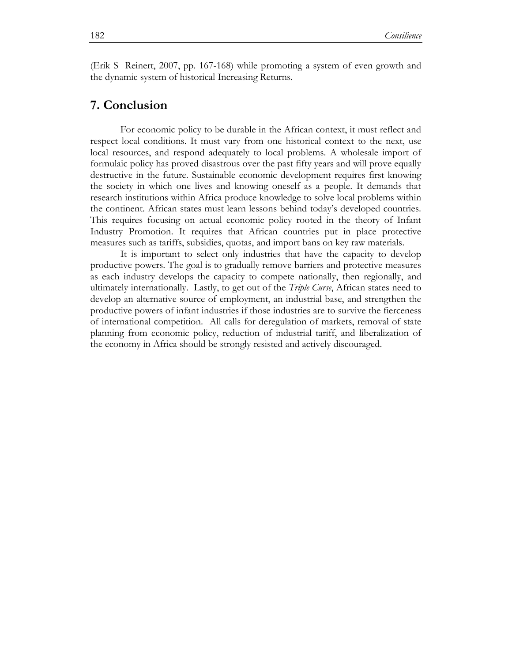(Erik S Reinert, 2007, pp. 167-168) while promoting a system of even growth and the dynamic system of historical Increasing Returns.

### **7. Conclusion**

For economic policy to be durable in the African context, it must reflect and respect local conditions. It must vary from one historical context to the next, use local resources, and respond adequately to local problems. A wholesale import of formulaic policy has proved disastrous over the past fifty years and will prove equally destructive in the future. Sustainable economic development requires first knowing the society in which one lives and knowing oneself as a people. It demands that research institutions within Africa produce knowledge to solve local problems within the continent. African states must learn lessons behind today's developed countries. This requires focusing on actual economic policy rooted in the theory of Infant Industry Promotion. It requires that African countries put in place protective measures such as tariffs, subsidies, quotas, and import bans on key raw materials.

It is important to select only industries that have the capacity to develop productive powers. The goal is to gradually remove barriers and protective measures as each industry develops the capacity to compete nationally, then regionally, and ultimately internationally. Lastly, to get out of the *Triple Curse*, African states need to develop an alternative source of employment, an industrial base, and strengthen the productive powers of infant industries if those industries are to survive the fierceness of international competition. All calls for deregulation of markets, removal of state planning from economic policy, reduction of industrial tariff, and liberalization of the economy in Africa should be strongly resisted and actively discouraged.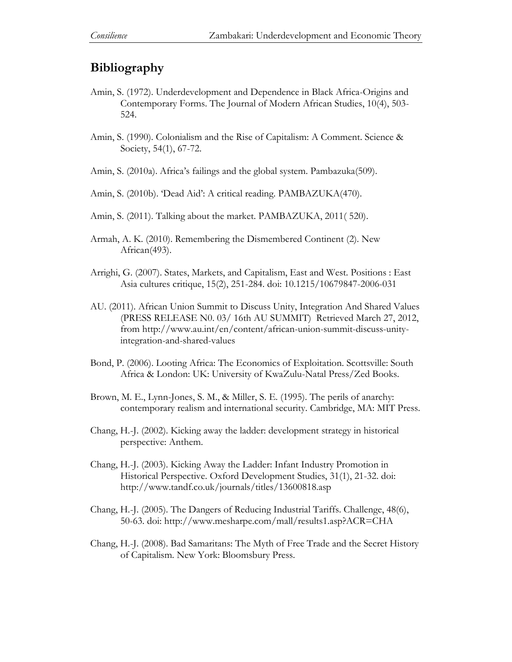## **Bibliography**

- Amin, S. (1972). Underdevelopment and Dependence in Black Africa-Origins and Contemporary Forms. The Journal of Modern African Studies, 10(4), 503- 524.
- Amin, S. (1990). Colonialism and the Rise of Capitalism: A Comment. Science & Society, 54(1), 67-72.
- Amin, S. (2010a). Africa's failings and the global system. Pambazuka(509).
- Amin, S. (2010b). 'Dead Aid': A critical reading. PAMBAZUKA(470).
- Amin, S. (2011). Talking about the market. PAMBAZUKA, 2011( 520).
- Armah, A. K. (2010). Remembering the Dismembered Continent (2). New African(493).
- Arrighi, G. (2007). States, Markets, and Capitalism, East and West. Positions : East Asia cultures critique, 15(2), 251-284. doi: 10.1215/10679847-2006-031
- AU. (2011). African Union Summit to Discuss Unity, Integration And Shared Values (PRESS RELEASE N0. 03/ 16th AU SUMMIT) Retrieved March 27, 2012, from http://www.au.int/en/content/african-union-summit-discuss-unityintegration-and-shared-values
- Bond, P. (2006). Looting Africa: The Economics of Exploitation. Scottsville: South Africa & London: UK: University of KwaZulu-Natal Press/Zed Books.
- Brown, M. E., Lynn-Jones, S. M., & Miller, S. E. (1995). The perils of anarchy: contemporary realism and international security. Cambridge, MA: MIT Press.
- Chang, H.-J. (2002). Kicking away the ladder: development strategy in historical perspective: Anthem.
- Chang, H.-J. (2003). Kicking Away the Ladder: Infant Industry Promotion in Historical Perspective. Oxford Development Studies, 31(1), 21-32. doi: http://www.tandf.co.uk/journals/titles/13600818.asp
- Chang, H.-J. (2005). The Dangers of Reducing Industrial Tariffs. Challenge, 48(6), 50-63. doi: http://www.mesharpe.com/mall/results1.asp?ACR=CHA
- Chang, H.-J. (2008). Bad Samaritans: The Myth of Free Trade and the Secret History of Capitalism. New York: Bloomsbury Press.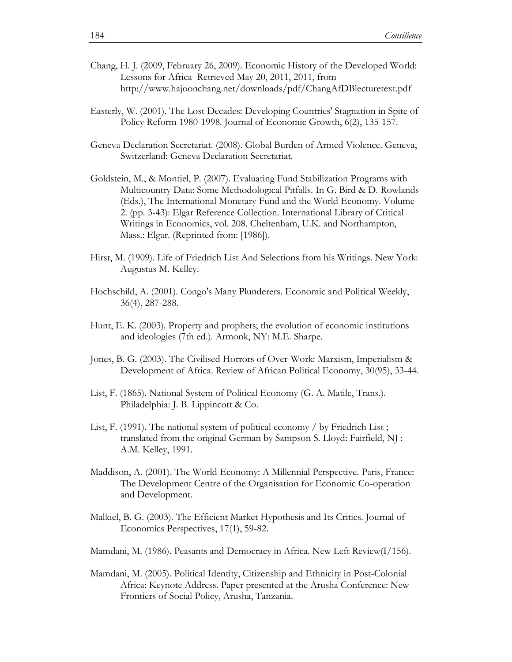- Chang, H. J. (2009, February 26, 2009). Economic History of the Developed World: Lessons for Africa Retrieved May 20, 2011, 2011, from http://www.hajoonchang.net/downloads/pdf/ChangAfDBlecturetext.pdf
- Easterly, W. (2001). The Lost Decades: Developing Countries' Stagnation in Spite of Policy Reform 1980-1998. Journal of Economic Growth, 6(2), 135-157.
- Geneva Declaration Secretariat. (2008). Global Burden of Armed Violence. Geneva, Switzerland: Geneva Declaration Secretariat.
- Goldstein, M., & Montiel, P. (2007). Evaluating Fund Stabilization Programs with Multicountry Data: Some Methodological Pitfalls. In G. Bird & D. Rowlands (Eds.), The International Monetary Fund and the World Economy. Volume 2. (pp. 3-43): Elgar Reference Collection. International Library of Critical Writings in Economics, vol. 208. Cheltenham, U.K. and Northampton, Mass.: Elgar. (Reprinted from: [1986]).
- Hirst, M. (1909). Life of Friedrich List And Selections from his Writings. New York: Augustus M. Kelley.
- Hochschild, A. (2001). Congo's Many Plunderers. Economic and Political Weekly, 36(4), 287-288.
- Hunt, E. K. (2003). Property and prophets; the evolution of economic institutions and ideologies (7th ed.). Armonk, NY: M.E. Sharpe.
- Jones, B. G. (2003). The Civilised Horrors of Over-Work: Marxism, Imperialism & Development of Africa. Review of African Political Economy, 30(95), 33-44.
- List, F. (1865). National System of Political Economy (G. A. Matile, Trans.). Philadelphia: J. B. Lippincott & Co.
- List, F. (1991). The national system of political economy / by Friedrich List ; translated from the original German by Sampson S. Lloyd: Fairfield, NJ : A.M. Kelley, 1991.
- Maddison, A. (2001). The World Economy: A Millennial Perspective. Paris, France: The Development Centre of the Organisation for Economic Co-operation and Development.
- Malkiel, B. G. (2003). The Efficient Market Hypothesis and Its Critics. Journal of Economics Perspectives, 17(1), 59-82.
- Mamdani, M. (1986). Peasants and Democracy in Africa. New Left Review(I/156).
- Mamdani, M. (2005). Political Identity, Citizenship and Ethnicity in Post-Colonial Africa: Keynote Address. Paper presented at the Arusha Conference: New Frontiers of Social Policy, Arusha, Tanzania.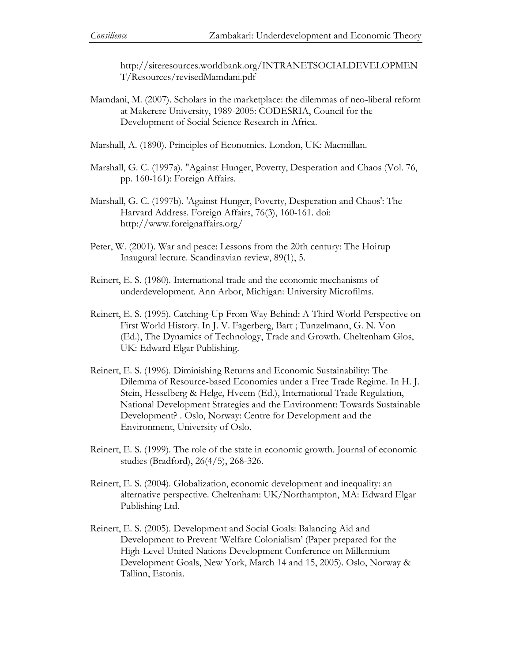http://siteresources.worldbank.org/INTRANETSOCIALDEVELOPMEN T/Resources/revisedMamdani.pdf

- Mamdani, M. (2007). Scholars in the marketplace: the dilemmas of neo-liberal reform at Makerere University, 1989-2005: CODESRIA, Council for the Development of Social Science Research in Africa.
- Marshall, A. (1890). Principles of Economics. London, UK: Macmillan.
- Marshall, G. C. (1997a). "Against Hunger, Poverty, Desperation and Chaos (Vol. 76, pp. 160-161): Foreign Affairs.
- Marshall, G. C. (1997b). 'Against Hunger, Poverty, Desperation and Chaos': The Harvard Address. Foreign Affairs, 76(3), 160-161. doi: http://www.foreignaffairs.org/
- Peter, W. (2001). War and peace: Lessons from the 20th century: The Hoirup Inaugural lecture. Scandinavian review, 89(1), 5.
- Reinert, E. S. (1980). International trade and the economic mechanisms of underdevelopment. Ann Arbor, Michigan: University Microfilms.
- Reinert, E. S. (1995). Catching-Up From Way Behind: A Third World Perspective on First World History. In J. V. Fagerberg, Bart ; Tunzelmann, G. N. Von (Ed.), The Dynamics of Technology, Trade and Growth. Cheltenham Glos, UK: Edward Elgar Publishing.
- Reinert, E. S. (1996). Diminishing Returns and Economic Sustainability: The Dilemma of Resource-based Economies under a Free Trade Regime. In H. J. Stein, Hesselberg & Helge, Hveem (Ed.), International Trade Regulation, National Development Strategies and the Environment: Towards Sustainable Development? . Oslo, Norway: Centre for Development and the Environment, University of Oslo.
- Reinert, E. S. (1999). The role of the state in economic growth. Journal of economic studies (Bradford), 26(4/5), 268-326.
- Reinert, E. S. (2004). Globalization, economic development and inequality: an alternative perspective. Cheltenham: UK/Northampton, MA: Edward Elgar Publishing Ltd.
- Reinert, E. S. (2005). Development and Social Goals: Balancing Aid and Development to Prevent 'Welfare Colonialism' (Paper prepared for the High-Level United Nations Development Conference on Millennium Development Goals, New York, March 14 and 15, 2005). Oslo, Norway & Tallinn, Estonia.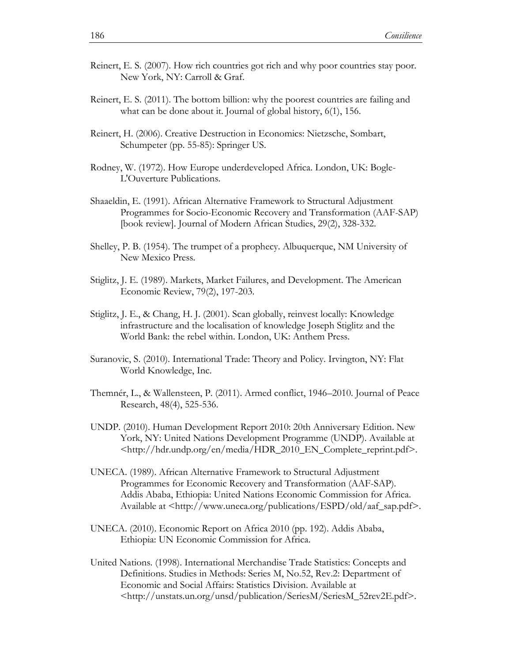- Reinert, E. S. (2007). How rich countries got rich and why poor countries stay poor. New York, NY: Carroll & Graf.
- Reinert, E. S. (2011). The bottom billion: why the poorest countries are failing and what can be done about it. Journal of global history, 6(1), 156.
- Reinert, H. (2006). Creative Destruction in Economics: Nietzsche, Sombart, Schumpeter (pp. 55-85): Springer US.
- Rodney, W. (1972). How Europe underdeveloped Africa. London, UK: Bogle-L'Ouverture Publications.
- Shaaeldin, E. (1991). African Alternative Framework to Structural Adjustment Programmes for Socio-Economic Recovery and Transformation (AAF-SAP) [book review]. Journal of Modern African Studies, 29(2), 328-332.
- Shelley, P. B. (1954). The trumpet of a prophecy. Albuquerque, NM University of New Mexico Press.
- Stiglitz, J. E. (1989). Markets, Market Failures, and Development. The American Economic Review, 79(2), 197-203.
- Stiglitz, J. E., & Chang, H. J. (2001). Scan globally, reinvest locally: Knowledge infrastructure and the localisation of knowledge Joseph Stiglitz and the World Bank: the rebel within. London, UK: Anthem Press.
- Suranovic, S. (2010). International Trade: Theory and Policy. Irvington, NY: Flat World Knowledge, Inc.
- Themnér, L., & Wallensteen, P. (2011). Armed conflict, 1946–2010. Journal of Peace Research, 48(4), 525-536.
- UNDP. (2010). Human Development Report 2010: 20th Anniversary Edition. New York, NY: United Nations Development Programme (UNDP). Available at <http://hdr.undp.org/en/media/HDR\_2010\_EN\_Complete\_reprint.pdf>.
- UNECA. (1989). African Alternative Framework to Structural Adjustment Programmes for Economic Recovery and Transformation (AAF-SAP). Addis Ababa, Ethiopia: United Nations Economic Commission for Africa. Available at <http://www.uneca.org/publications/ESPD/old/aaf\_sap.pdf>.
- UNECA. (2010). Economic Report on Africa 2010 (pp. 192). Addis Ababa, Ethiopia: UN Economic Commission for Africa.
- United Nations. (1998). International Merchandise Trade Statistics: Concepts and Definitions. Studies in Methods: Series M, No.52, Rev.2: Department of Economic and Social Affairs: Statistics Division. Available at <http://unstats.un.org/unsd/publication/SeriesM/SeriesM\_52rev2E.pdf>.